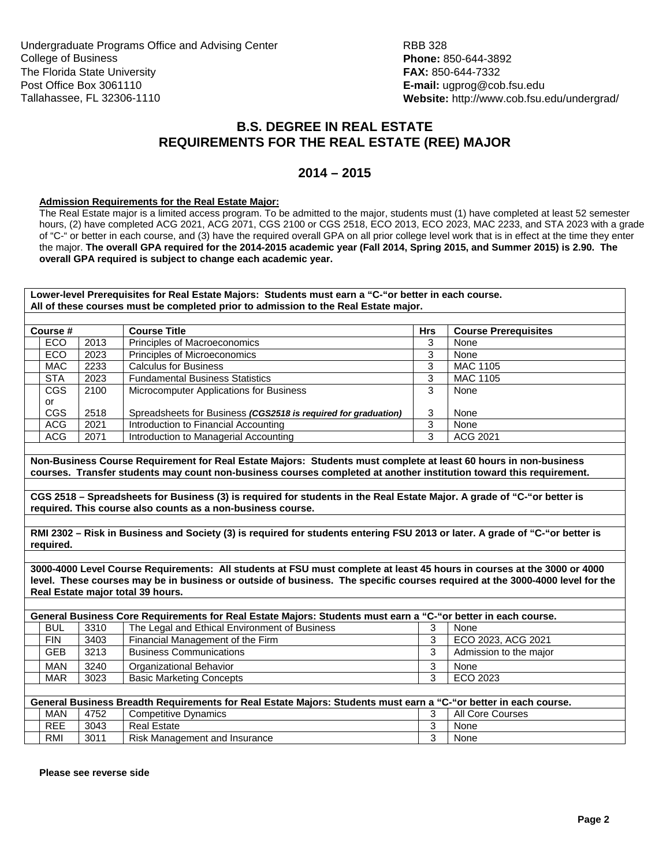## **B.S. DEGREE IN REAL ESTATE REQUIREMENTS FOR THE REAL ESTATE (REE) MAJOR**

## **2014 – 2015**

## **Admission Requirements for the Real Estate Major:**

The Real Estate major is a limited access program. To be admitted to the major, students must (1) have completed at least 52 semester hours, (2) have completed ACG 2021, ACG 2071, CGS 2100 or CGS 2518, ECO 2013, ECO 2023, MAC 2233, and STA 2023 with a grade of "C-" or better in each course, and (3) have the required overall GPA on all prior college level work that is in effect at the time they enter the major. **The overall GPA required for the 2014-2015 academic year (Fall 2014, Spring 2015, and Summer 2015) is 2.90. The overall GPA required is subject to change each academic year.** 

**Lower-level Prerequisites for Real Estate Majors: Students must earn a "C-"or better in each course. All of these courses must be completed prior to admission to the Real Estate major. Course #** Course Title **COUTSE COURSE TITLE ACCESS** COURSE PRETEQUISITES ECO 2013 Principles of Macroeconomics 3 None ECO 2023 Principles of Microeconomics 3 None MAC 2233 Calculus for Business 3 MAC 1105 STA 2023 | Fundamental Business Statistics | 3 | MAC 1105 CGS or CGS 2100 2518 Microcomputer Applications for Business Spreadsheets for Business *(CGS2518 is required for graduation)*  3 3 None None ACG 2021 Introduction to Financial Accounting and the state of the Second 1 Second 1 Second 1 Second 1 Second 1 Second 1 Second 1 Second 1 Second 1 Second 1 Second 1 Second 1 Second 1 Second 1 Second 1 Second 1 Second 1 Se ACG 2071 Introduction to Managerial Accounting and ACG 3 3 | ACG 2021 **Non-Business Course Requirement for Real Estate Majors: Students must complete at least 60 hours in non-business courses. Transfer students may count non-business courses completed at another institution toward this requirement. CGS 2518 – Spreadsheets for Business (3) is required for students in the Real Estate Major. A grade of "C-"or better is required. This course also counts as a non-business course. RMI 2302 – Risk in Business and Society (3) is required for students entering FSU 2013 or later. A grade of "C-"or better is required. 3000-4000 Level Course Requirements: All students at FSU must complete at least 45 hours in courses at the 3000 or 4000 level. These courses may be in business or outside of business. The specific courses required at the 3000-4000 level for the Real Estate major total 39 hours. General Business Core Requirements for Real Estate Majors: Students must earn a "C-"or better in each course.**  BUL 3310 The Legal and Ethical Environment of Business 3 None<br>
FIN 3403 Financial Management of the Firm<br>
3 ECO 2023, ACG 2021 FIN 3403 Financial Management of the Firm 3 GEB 3213 Business Communications 3 Admission to the major MAN 3240 | Organizational Behavior 3 | 3 | None MAR 3023 Basic Marketing Concepts 3 3 ECO 2023 **General Business Breadth Requirements for Real Estate Majors: Students must earn a "C-"or better in each course.**  MAN 4752 Competitive Dynamics 3 All Core Courses REE 3043 Real Estate 3 None RMI 3011 Risk Management and Insurance 3 3 None